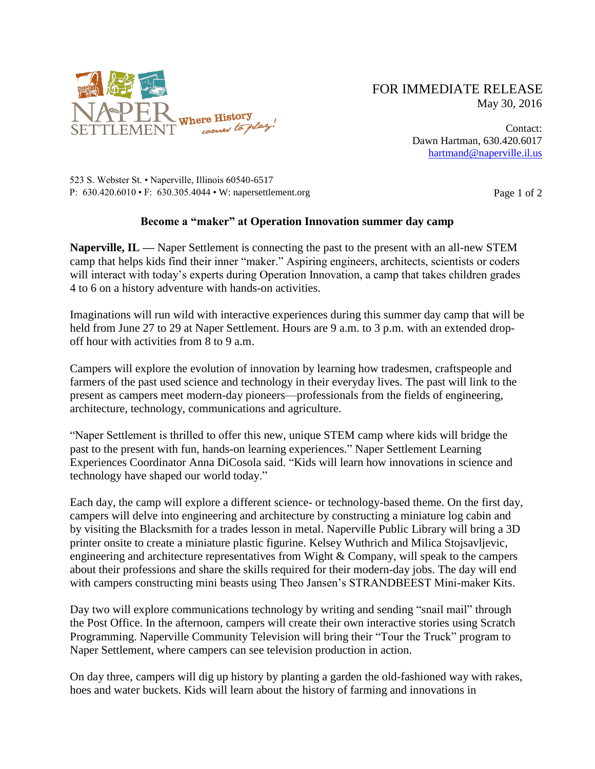

## FOR IMMEDIATE RELEASE May 30, 2016

Contact: Dawn Hartman, 630.420.6017 [hartmand@naperville.il.us](mailto:hartmand@naperville.il.us)

523 S. Webster St. • Naperville, Illinois 60540-6517 P:  $630.420.6010 \cdot F$ :  $630.305.4044 \cdot W$ : napersettlement.org Page 1 of 2

## **Become a "maker" at Operation Innovation summer day camp**

**Naperville, IL —** Naper Settlement is connecting the past to the present with an all-new STEM camp that helps kids find their inner "maker." Aspiring engineers, architects, scientists or coders will interact with today's experts during Operation Innovation, a camp that takes children grades 4 to 6 on a history adventure with hands-on activities.

Imaginations will run wild with interactive experiences during this summer day camp that will be held from June 27 to 29 at Naper Settlement. Hours are 9 a.m. to 3 p.m. with an extended dropoff hour with activities from 8 to 9 a.m.

Campers will explore the evolution of innovation by learning how tradesmen, craftspeople and farmers of the past used science and technology in their everyday lives. The past will link to the present as campers meet modern-day pioneers—professionals from the fields of engineering, architecture, technology, communications and agriculture.

"Naper Settlement is thrilled to offer this new, unique STEM camp where kids will bridge the past to the present with fun, hands-on learning experiences." Naper Settlement Learning Experiences Coordinator Anna DiCosola said. "Kids will learn how innovations in science and technology have shaped our world today."

Each day, the camp will explore a different science- or technology-based theme. On the first day, campers will delve into engineering and architecture by constructing a miniature log cabin and by visiting the Blacksmith for a trades lesson in metal. Naperville Public Library will bring a 3D printer onsite to create a miniature plastic figurine. Kelsey Wuthrich and Milica Stojsavljevic, engineering and architecture representatives from Wight & Company, will speak to the campers about their professions and share the skills required for their modern-day jobs. The day will end with campers constructing mini beasts using Theo Jansen's STRANDBEEST Mini-maker Kits.

Day two will explore communications technology by writing and sending "snail mail" through the Post Office. In the afternoon, campers will create their own interactive stories using Scratch Programming. Naperville Community Television will bring their "Tour the Truck" program to Naper Settlement, where campers can see television production in action.

On day three, campers will dig up history by planting a garden the old-fashioned way with rakes, hoes and water buckets. Kids will learn about the history of farming and innovations in